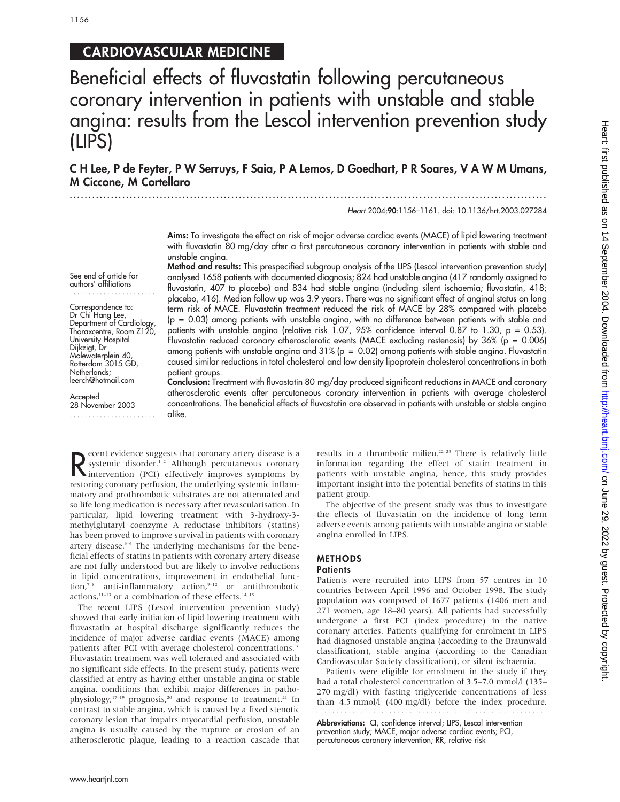See end of article for authors' affiliations ....................... Correspondence to: Dr Chi Hang Lee, Department of Cardiology, Thoraxcentre, Room Z120, University Hospital Dijkzigt, Dr Molewaterplein 40, Rotterdam 3015 GD, Netherlands; leerch@hotmail.com

**Accepted** 28 November 2003 .......................

# CARDIOVASCULAR MEDICINE

Beneficial effects of fluvastatin following percutaneous coronary intervention in patients with unstable and stable angina: results from the Lescol intervention prevention study (LIPS)

C H Lee, P de Feyter, P W Serruys, F Saia, P A Lemos, D Goedhart, P R Soares, V A W M Umans, M Ciccone, M Cortellaro

> ............................................................................................................................... Heart 2004;90:1156–1161. doi: 10.1136/hrt.2003.027284

Aims: To investigate the effect on risk of major adverse cardiac events (MACE) of lipid lowering treatment with fluvastatin 80 mg/day after a first percutaneous coronary intervention in patients with stable and unstable angina.

Method and results: This prespecified subgroup analysis of the LIPS (Lescol intervention prevention study) analysed 1658 patients with documented diagnosis; 824 had unstable angina (417 randomly assigned to fluvastatin, 407 to placebo) and 834 had stable angina (including silent ischaemia; fluvastatin, 418; placebo, 416). Median follow up was 3.9 years. There was no significant effect of anginal status on long term risk of MACE. Fluvastatin treatment reduced the risk of MACE by 28% compared with placebo (p = 0.03) among patients with unstable angina, with no difference between patients with stable and patients with unstable angina (relative risk 1.07, 95% confidence interval 0.87 to 1.30, p = 0.53). Fluvastatin reduced coronary atherosclerotic events (MACE excluding restenosis) by 36% (p = 0.006) among patients with unstable angina and  $31\%$  (p = 0.02) among patients with stable angina. Fluvastatin caused similar reductions in total cholesterol and low density lipoprotein cholesterol concentrations in both patient groups.

Conclusion: Treatment with fluvastatin 80 mg/day produced significant reductions in MACE and coronary atherosclerotic events after percutaneous coronary intervention in patients with average cholesterol concentrations. The beneficial effects of fluvastatin are observed in patients with unstable or stable angina alike.

Recent evidence suggests that coronary artery disease is a systemic disorder.<sup>1,2</sup> Although percutaneous coronary intervention (PCI) effectively improves symptoms by systemic disorder.<sup>12</sup> Although percutaneous coronary intervention (PCI) effectively improves symptoms by restoring coronary perfusion, the underlying systemic inflammatory and prothrombotic substrates are not attenuated and so life long medication is necessary after revascularisation. In particular, lipid lowering treatment with 3-hydroxy-3 methylglutaryl coenzyme A reductase inhibitors (statins) has been proved to improve survival in patients with coronary artery disease.<sup>3-6</sup> The underlying mechanisms for the beneficial effects of statins in patients with coronary artery disease are not fully understood but are likely to involve reductions in lipid concentrations, improvement in endothelial function,<sup>7</sup> anti-inflammatory action,<sup>9-12</sup> or antithrombotic actions,<sup>11-13</sup> or a combination of these effects.<sup>14 15</sup>

The recent LIPS (Lescol intervention prevention study) showed that early initiation of lipid lowering treatment with fluvastatin at hospital discharge significantly reduces the incidence of major adverse cardiac events (MACE) among patients after PCI with average cholesterol concentrations.<sup>16</sup> Fluvastatin treatment was well tolerated and associated with no significant side effects. In the present study, patients were classified at entry as having either unstable angina or stable angina, conditions that exhibit major differences in pathophysiology,<sup>17-19</sup> prognosis,<sup>20</sup> and response to treatment.<sup>21</sup> In contrast to stable angina, which is caused by a fixed stenotic coronary lesion that impairs myocardial perfusion, unstable angina is usually caused by the rupture or erosion of an atherosclerotic plaque, leading to a reaction cascade that results in a thrombotic milieu.<sup>22 23</sup> There is relatively little information regarding the effect of statin treatment in patients with unstable angina; hence, this study provides important insight into the potential benefits of statins in this patient group.

The objective of the present study was thus to investigate the effects of fluvastatin on the incidence of long term adverse events among patients with unstable angina or stable angina enrolled in LIPS.

# METHODS

### **Patients**

Patients were recruited into LIPS from 57 centres in 10 countries between April 1996 and October 1998. The study population was composed of 1677 patients (1406 men and 271 women, age 18–80 years). All patients had successfully undergone a first PCI (index procedure) in the native coronary arteries. Patients qualifying for enrolment in LIPS had diagnosed unstable angina (according to the Braunwald classification), stable angina (according to the Canadian Cardiovascular Society classification), or silent ischaemia.

Patients were eligible for enrolment in the study if they had a total cholesterol concentration of 3.5–7.0 mmol/l (135– 270 mg/dl) with fasting triglyceride concentrations of less than 4.5 mmol/l (400 mg/dl) before the index procedure.

Abbreviations: CI, confidence interval; LIPS, Lescol intervention prevention study; MACE, major adverse cardiac events; PCI, percutaneous coronary intervention; RR, relative risk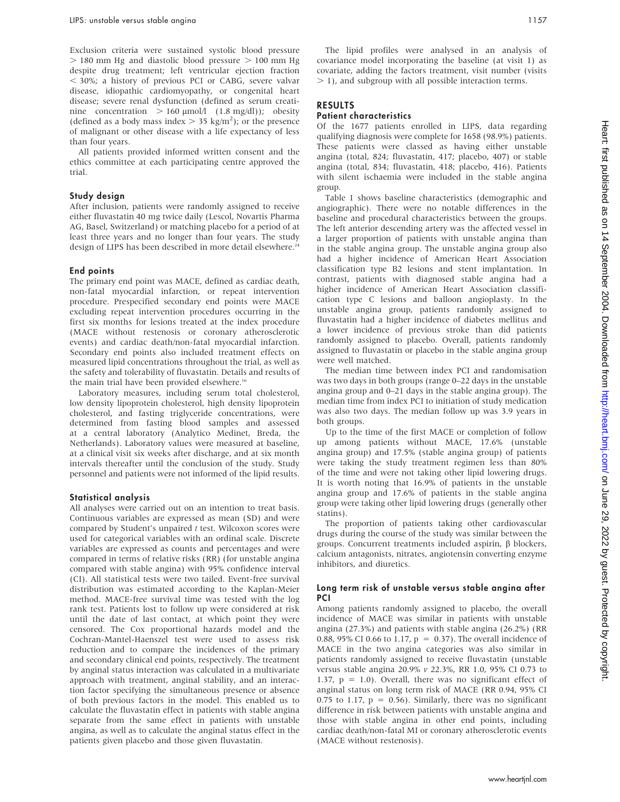Exclusion criteria were sustained systolic blood pressure  $>$  180 mm Hg and diastolic blood pressure  $>$  100 mm Hg despite drug treatment; left ventricular ejection fraction , 30%; a history of previous PCI or CABG, severe valvar disease, idiopathic cardiomyopathy, or congenital heart disease; severe renal dysfunction (defined as serum creatinine concentration  $> 160 \text{ }\mu\text{mol}/l$  (1.8 mg/dl)); obesity (defined as a body mass index  $> 35$  kg/m<sup>2</sup>); or the presence of malignant or other disease with a life expectancy of less than four years.

All patients provided informed written consent and the ethics committee at each participating centre approved the trial.

### Study design

After inclusion, patients were randomly assigned to receive either fluvastatin 40 mg twice daily (Lescol, Novartis Pharma AG, Basel, Switzerland) or matching placebo for a period of at least three years and no longer than four years. The study design of LIPS has been described in more detail elsewhere.<sup>24</sup>

#### End points

The primary end point was MACE, defined as cardiac death, non-fatal myocardial infarction, or repeat intervention procedure. Prespecified secondary end points were MACE excluding repeat intervention procedures occurring in the first six months for lesions treated at the index procedure (MACE without restenosis or coronary atherosclerotic events) and cardiac death/non-fatal myocardial infarction. Secondary end points also included treatment effects on measured lipid concentrations throughout the trial, as well as the safety and tolerability of fluvastatin. Details and results of the main trial have been provided elsewhere.<sup>16</sup>

Laboratory measures, including serum total cholesterol, low density lipoprotein cholesterol, high density lipoprotein cholesterol, and fasting triglyceride concentrations, were determined from fasting blood samples and assessed at a central laboratory (Analytico Medinet, Breda, the Netherlands). Laboratory values were measured at baseline, at a clinical visit six weeks after discharge, and at six month intervals thereafter until the conclusion of the study. Study personnel and patients were not informed of the lipid results.

#### Statistical analysis

All analyses were carried out on an intention to treat basis. Continuous variables are expressed as mean (SD) and were compared by Student's unpaired t test. Wilcoxon scores were used for categorical variables with an ordinal scale. Discrete variables are expressed as counts and percentages and were compared in terms of relative risks (RR) (for unstable angina compared with stable angina) with 95% confidence interval (CI). All statistical tests were two tailed. Event-free survival distribution was estimated according to the Kaplan-Meier method. MACE-free survival time was tested with the log rank test. Patients lost to follow up were considered at risk until the date of last contact, at which point they were censored. The Cox proportional hazards model and the Cochran-Mantel-Haenszel test were used to assess risk reduction and to compare the incidences of the primary and secondary clinical end points, respectively. The treatment by anginal status interaction was calculated in a multivariate approach with treatment, anginal stability, and an interaction factor specifying the simultaneous presence or absence of both previous factors in the model. This enabled us to calculate the fluvastatin effect in patients with stable angina separate from the same effect in patients with unstable angina, as well as to calculate the anginal status effect in the patients given placebo and those given fluvastatin.

The lipid profiles were analysed in an analysis of covariance model incorporating the baseline (at visit 1) as covariate, adding the factors treatment, visit number (visits  $>$  1), and subgroup with all possible interaction terms.

## RESULTS

## Patient characteristics

Of the 1677 patients enrolled in LIPS, data regarding qualifying diagnosis were complete for 1658 (98.9%) patients. These patients were classed as having either unstable angina (total, 824; fluvastatin, 417; placebo, 407) or stable angina (total, 834; fluvastatin, 418; placebo, 416). Patients with silent ischaemia were included in the stable angina group.

Table 1 shows baseline characteristics (demographic and angiographic). There were no notable differences in the baseline and procedural characteristics between the groups. The left anterior descending artery was the affected vessel in a larger proportion of patients with unstable angina than in the stable angina group. The unstable angina group also had a higher incidence of American Heart Association classification type B2 lesions and stent implantation. In contrast, patients with diagnosed stable angina had a higher incidence of American Heart Association classification type C lesions and balloon angioplasty. In the unstable angina group, patients randomly assigned to fluvastatin had a higher incidence of diabetes mellitus and a lower incidence of previous stroke than did patients randomly assigned to placebo. Overall, patients randomly assigned to fluvastatin or placebo in the stable angina group were well matched.

The median time between index PCI and randomisation was two days in both groups (range 0–22 days in the unstable angina group and 0–21 days in the stable angina group). The median time from index PCI to initiation of study medication was also two days. The median follow up was 3.9 years in both groups.

Up to the time of the first MACE or completion of follow up among patients without MACE, 17.6% (unstable angina group) and 17.5% (stable angina group) of patients were taking the study treatment regimen less than 80% of the time and were not taking other lipid lowering drugs. It is worth noting that 16.9% of patients in the unstable angina group and 17.6% of patients in the stable angina group were taking other lipid lowering drugs (generally other statins).

The proportion of patients taking other cardiovascular drugs during the course of the study was similar between the groups. Concurrent treatments included aspirin,  $\beta$  blockers, calcium antagonists, nitrates, angiotensin converting enzyme inhibitors, and diuretics.

#### Long term risk of unstable versus stable angina after **PCI**

Among patients randomly assigned to placebo, the overall incidence of MACE was similar in patients with unstable angina (27.3%) and patients with stable angina (26.2%) (RR 0.88, 95% CI 0.66 to 1.17,  $p = 0.37$ ). The overall incidence of MACE in the two angina categories was also similar in patients randomly assigned to receive fluvastatin (unstable versus stable angina 20.9% v 22.3%, RR 1.0, 95% CI 0.73 to 1.37,  $p = 1.0$ ). Overall, there was no significant effect of anginal status on long term risk of MACE (RR 0.94, 95% CI 0.75 to 1.17,  $p = 0.56$ ). Similarly, there was no significant difference in risk between patients with unstable angina and those with stable angina in other end points, including cardiac death/non-fatal MI or coronary atherosclerotic events (MACE without restenosis).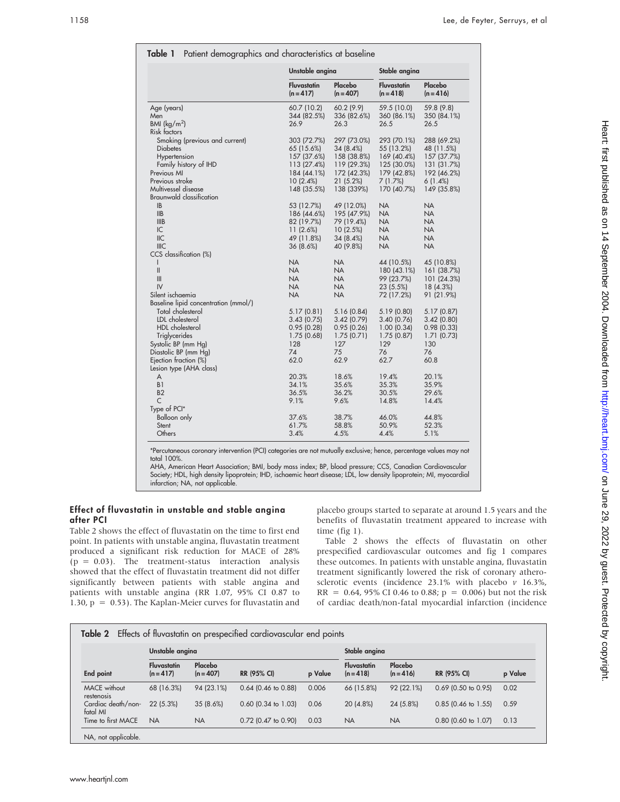|                                      | Unstable angina                   |                        | Stable angina                     |                        |  |
|--------------------------------------|-----------------------------------|------------------------|-----------------------------------|------------------------|--|
|                                      | <b>Fluvastatin</b><br>$(n = 417)$ | Placebo<br>$(n = 407)$ | <b>Fluvastatin</b><br>$(n = 418)$ | Placebo<br>$(n = 416)$ |  |
| Age (years)                          | 60.7 (10.2)                       | 60.2 (9.9)             | 59.5 (10.0)                       | 59.8 (9.8)             |  |
| Men                                  | 344 (82.5%)                       | 336 (82.6%)            | 360 (86.1%)                       | 350 (84.1%)            |  |
| BMI $(kq/m^2)$                       | 26.9                              | 26.3                   | 26.5                              | 26.5                   |  |
| Risk factors                         |                                   |                        |                                   |                        |  |
| Smoking (previous and current)       | 303 (72.7%)                       | 297 (73.0%)            | 293 (70.1%)                       | 288 (69.2%)            |  |
| <b>Diabetes</b>                      | 65 (15.6%)                        | 34 (8.4%)              | 55 (13.2%)                        | 48 (11.5%)             |  |
| Hypertension                         | 157 (37.6%)                       | 158 (38.8%)            | 169 (40.4%)                       | 157 (37.7%)            |  |
| Family history of IHD                | 113 (27.4%)                       | 119 (29.3%)            | 125 (30.0%)                       | 131 (31.7%)            |  |
| Previous MI                          | 184 (44.1%)                       | 172 (42.3%)            | 179 (42.8%)                       | 192 (46.2%)            |  |
| Previous stroke                      | 10(2.4%)                          | 21 (5.2%)              | 7(1.7%)                           | 6(1.4%)                |  |
| Multivessel disease                  | 148 (35.5%)                       | 138 (339%)             | 170 (40.7%)                       | 149 (35.8%)            |  |
| Braunwald classification             |                                   |                        |                                   |                        |  |
| <b>IB</b>                            | 53 (12.7%)                        | 49 (12.0%)             | <b>NA</b>                         | <b>NA</b>              |  |
| IIB                                  | 186 (44.6%)                       | 195 (47.9%)            | NA.                               | NA                     |  |
| <b>IIIB</b>                          | 82 (19.7%)                        | 79 (19.4%)             | <b>NA</b>                         | <b>NA</b>              |  |
| IC                                   | 11(2.6%)                          | 10(2.5%)               | <b>NA</b>                         | NA.                    |  |
| IIC                                  | 49 (11.8%)                        | 34 (8.4%)              | <b>NA</b>                         | <b>NA</b>              |  |
| <b>IIIC</b>                          | 36 (8.6%)                         | 40 (9.8%)              | <b>NA</b>                         | NA                     |  |
| CCS classification (%)               |                                   |                        |                                   |                        |  |
| $\mathsf{I}$                         | <b>NA</b>                         | <b>NA</b>              | 44 (10.5%)                        | 45 (10.8%)             |  |
| $\mathsf{II}$                        | <b>NA</b>                         | <b>NA</b>              | 180 (43.1%)                       | 161 (38.7%)            |  |
| III                                  | <b>NA</b>                         | NA.                    | 99 (23.7%)                        | 101 (24.3%)            |  |
| IV                                   | <b>NA</b>                         | <b>NA</b>              | 23 (5.5%)                         | 18 (4.3%)              |  |
| Silent ischaemia                     | <b>NA</b>                         | NA                     | 72 (17.2%)                        | 91 (21.9%)             |  |
| Baseline lipid concentration (mmol/) |                                   |                        |                                   |                        |  |
| Total cholesterol                    | 5.17(0.81)                        | 5.16 (0.84)            | 5.19(0.80)                        | 5.17 (0.87)            |  |
| LDL cholesterol                      | 3.43(0.75)                        | 3.42(0.79)             | 3.40(0.76)                        | 3.42(0.80)             |  |
| HDL cholesterol                      | 0.95(0.28)                        | 0.95(0.26)             | 1.00(0.34)                        | 0.98(0.33)             |  |
| Triglycerides                        | 1.75(0.68)                        | 1.75(0.71)             | 1.75(0.87)                        | 1.71(0.73)             |  |
| Systolic BP (mm Hg)                  | 128                               | 127                    | 129                               | 130                    |  |
| Diastolic BP (mm Hg)                 | 74                                | 75                     | 76                                | 76                     |  |
| Ejection fraction (%)                | 62.0                              | 62.9                   | 62.7                              | 60.8                   |  |
| Lesion type (AHA class)              |                                   |                        |                                   |                        |  |
| A                                    | 20.3%                             | 18.6%                  | 19.4%                             | 20.1%                  |  |
| B <sub>1</sub>                       | 34.1%                             | 35.6%                  | 35.3%                             | 35.9%                  |  |
| B2                                   | 36.5%                             | 36.2%                  | 30.5%                             | 29.6%                  |  |
| $\mathsf{C}$                         | 9.1%                              | 9.6%                   | 14.8%                             | 14.4%                  |  |
| Type of PCI*                         |                                   |                        |                                   |                        |  |
| <b>Balloon only</b>                  | 37.6%                             | 38.7%                  | 46.0%                             | 44.8%                  |  |
| Stent                                | 61.7%                             | 58.8%                  | 50.9%                             | 52.3%                  |  |
| Others                               | 3.4%                              | 4.5%                   | 4.4%                              | 5.1%                   |  |

\*Percutaneous coronary intervention (PCI) categories are not mutually exclusive; hence, percentage values may not total 100%.

AHA, American Heart Association; BMI, body mass index; BP, blood pressure; CCS, Canadian Cardiovascular Society; HDL, high density lipoprotein; IHD, ischaemic heart disease; LDL, low density lipoprotein; MI, myocardial infarction; NA, not applicable.

# Effect of fluvastatin in unstable and stable angina after PCI

Table 2 shows the effect of fluvastatin on the time to first end point. In patients with unstable angina, fluvastatin treatment produced a significant risk reduction for MACE of 28%  $(p = 0.03)$ . The treatment-status interaction analysis showed that the effect of fluvastatin treatment did not differ significantly between patients with stable angina and patients with unstable angina (RR 1.07, 95% CI 0.87 to 1.30,  $p = 0.53$ ). The Kaplan-Meier curves for fluvastatin and placebo groups started to separate at around 1.5 years and the benefits of fluvastatin treatment appeared to increase with time (fig 1).

Table 2 shows the effects of fluvastatin on other prespecified cardiovascular outcomes and fig 1 compares these outcomes. In patients with unstable angina, fluvastatin treatment significantly lowered the risk of coronary atherosclerotic events (incidence  $23.1\%$  with placebo v 16.3%,  $RR = 0.64$ , 95% CI 0.46 to 0.88; p = 0.006) but not the risk of cardiac death/non-fatal myocardial infarction (incidence

|                                   | Unstable angina                 |                        |                       |         | Stable angina            |                        |                       |         |  |
|-----------------------------------|---------------------------------|------------------------|-----------------------|---------|--------------------------|------------------------|-----------------------|---------|--|
| End point                         | <b>Fluvastatin</b><br>$(n=417)$ | Placebo<br>$(n = 407)$ | <b>RR (95% CI)</b>    | p Value | Fluvastatin<br>$(n=418)$ | Placebo<br>$(n = 416)$ | <b>RR (95% CI)</b>    | p Value |  |
| <b>MACE</b> without<br>restenosis | 68 (16.3%)                      | 94 (23.1%)             | $0.64$ (0.46 to 0.88) | 0.006   | 66 (15.8%)               | 92 (22.1%)             | $0.69$ (0.50 to 0.95) | 0.02    |  |
| Cardiac death/non-<br>fatal MI    | 22(5.3%)                        | 35(8.6%)               | $0.60$ (0.34 to 1.03) | 0.06    | 20 (4.8%)                | 24 (5.8%)              | $0.85$ (0.46 to 1.55) | 0.59    |  |
| Time to first MACE                | <b>NA</b>                       | <b>NA</b>              | $0.72$ (0.47 to 0.90) | 0.03    | <b>NA</b>                | <b>NA</b>              | $0.80$ (0.60 to 1.07) | 0.13    |  |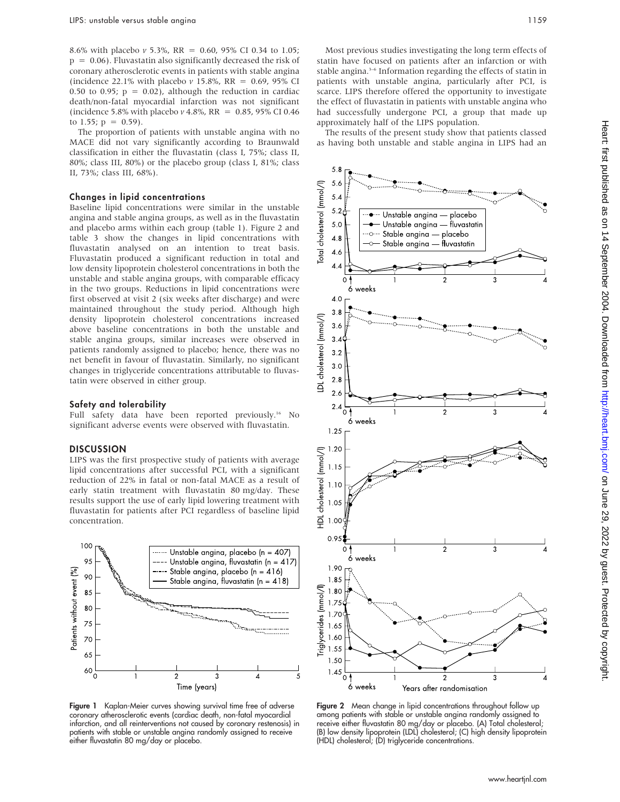8.6% with placebo  $v$  5.3%, RR = 0.60, 95% CI 0.34 to 1.05;  $p = 0.06$ ). Fluvastatin also significantly decreased the risk of coronary atherosclerotic events in patients with stable angina (incidence 22.1% with placebo  $v$  15.8%, RR = 0.69, 95% CI 0.50 to 0.95;  $p = 0.02$ ), although the reduction in cardiac death/non-fatal myocardial infarction was not significant (incidence 5.8% with placebo v 4.8%, RR =  $0.85$ , 95% CI 0.46 to 1.55;  $p = 0.59$ ).

The proportion of patients with unstable angina with no MACE did not vary significantly according to Braunwald classification in either the fluvastatin (class I, 75%; class II, 80%; class III, 80%) or the placebo group (class I, 81%; class II, 73%; class III, 68%).

#### Changes in lipid concentrations

Baseline lipid concentrations were similar in the unstable angina and stable angina groups, as well as in the fluvastatin and placebo arms within each group (table 1). Figure 2 and table 3 show the changes in lipid concentrations with fluvastatin analysed on an intention to treat basis. Fluvastatin produced a significant reduction in total and low density lipoprotein cholesterol concentrations in both the unstable and stable angina groups, with comparable efficacy in the two groups. Reductions in lipid concentrations were first observed at visit 2 (six weeks after discharge) and were maintained throughout the study period. Although high density lipoprotein cholesterol concentrations increased above baseline concentrations in both the unstable and stable angina groups, similar increases were observed in patients randomly assigned to placebo; hence, there was no net benefit in favour of fluvastatin. Similarly, no significant changes in triglyceride concentrations attributable to fluvastatin were observed in either group.

#### Safety and tolerability

Full safety data have been reported previously.<sup>16</sup> No significant adverse events were observed with fluvastatin.

#### **DISCUSSION**

LIPS was the first prospective study of patients with average lipid concentrations after successful PCI, with a significant reduction of 22% in fatal or non-fatal MACE as a result of early statin treatment with fluvastatin 80 mg/day. These results support the use of early lipid lowering treatment with fluvastatin for patients after PCI regardless of baseline lipid concentration.



Figure 1 Kaplan-Meier curves showing survival time free of adverse coronary atherosclerotic events (cardiac death, non-fatal myocardial infarction, and all reinterventions not caused by coronary restenosis) in patients with stable or unstable angina randomly assigned to receive either fluvastatin 80 mg/day or placebo.

Most previous studies investigating the long term effects of statin have focused on patients after an infarction or with stable angina.<sup>3-6</sup> Information regarding the effects of statin in patients with unstable angina, particularly after PCI, is scarce. LIPS therefore offered the opportunity to investigate the effect of fluvastatin in patients with unstable angina who had successfully undergone PCI, a group that made up approximately half of the LIPS population.

The results of the present study show that patients classed as having both unstable and stable angina in LIPS had an



Figure 2 Mean change in lipid concentrations throughout follow up among patients with stable or unstable angina randomly assigned to receive either fluvastatin 80 mg/day or placebo. (A) Total cholesterol; (B) low density lipoprotein (LDL) cholesterol; (C) high density lipoprotein (HDL) cholesterol; (D) triglyceride concentrations.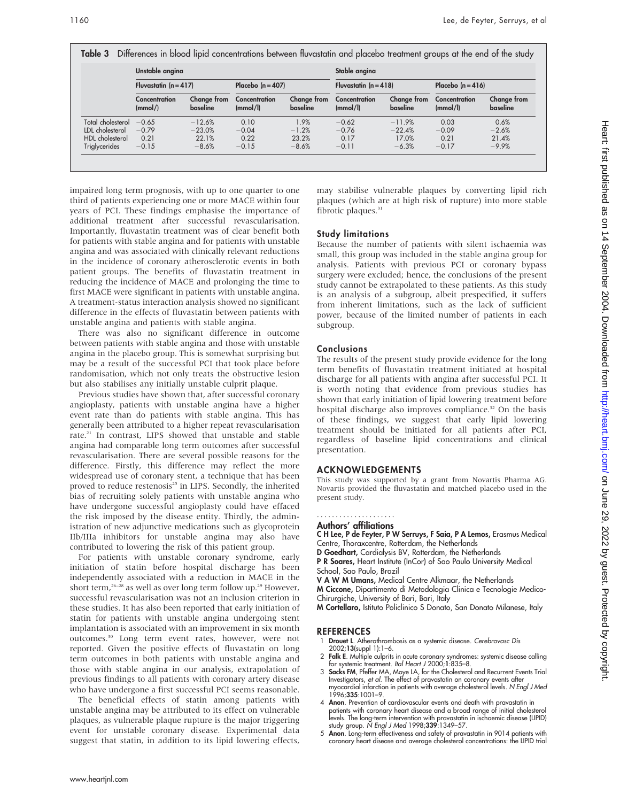Table 3 Differences in blood lipid concentrations between fluvastatin and placebo treatment groups at the end of the study

|                   | Unstable angina           |                         |                           |                         | Stable angina             |                         |                           |                         |
|-------------------|---------------------------|-------------------------|---------------------------|-------------------------|---------------------------|-------------------------|---------------------------|-------------------------|
|                   | Fluvastatin $(n = 417)$   |                         | Placebo $(n = 407)$       |                         | Fluvastatin $(n = 418)$   |                         | Placebo $(n = 416)$       |                         |
|                   | Concentration<br>(mmol/ ) | Change from<br>baseline | Concentration<br>(mmol/l) | Change from<br>baseline | Concentration<br>(mmol/l) | Change from<br>baseline | Concentration<br>(mmol/l) | Change from<br>baseline |
| Total cholesterol | $-0.65$                   | $-12.6%$                | 0.10                      | 1.9%                    | $-0.62$                   | $-11.9%$                | 0.03                      | 0.6%                    |
| LDL cholesterol   | $-0.79$                   | $-23.0%$                | $-0.04$                   | $-1.2%$                 | $-0.76$                   | $-22.4%$                | $-0.09$                   | $-2.6%$                 |
| HDL cholesterol   | 0.21                      | 22.1%                   | 0.22                      | 23.2%                   | 0.17                      | 17.0%                   | 0.21                      | 21.4%                   |
| Triglycerides     | $-0.15$                   | $-8.6%$                 | $-0.15$                   | $-8.6%$                 | $-0.11$                   | $-6.3%$                 | $-0.17$                   | $-9.9%$                 |

impaired long term prognosis, with up to one quarter to one third of patients experiencing one or more MACE within four years of PCI. These findings emphasise the importance of additional treatment after successful revascularisation. Importantly, fluvastatin treatment was of clear benefit both for patients with stable angina and for patients with unstable angina and was associated with clinically relevant reductions in the incidence of coronary atherosclerotic events in both patient groups. The benefits of fluvastatin treatment in reducing the incidence of MACE and prolonging the time to first MACE were significant in patients with unstable angina. A treatment-status interaction analysis showed no significant difference in the effects of fluvastatin between patients with unstable angina and patients with stable angina.

There was also no significant difference in outcome between patients with stable angina and those with unstable angina in the placebo group. This is somewhat surprising but may be a result of the successful PCI that took place before randomisation, which not only treats the obstructive lesion but also stabilises any initially unstable culprit plaque.

Previous studies have shown that, after successful coronary angioplasty, patients with unstable angina have a higher event rate than do patients with stable angina. This has generally been attributed to a higher repeat revascularisation rate.<sup>21</sup> In contrast, LIPS showed that unstable and stable angina had comparable long term outcomes after successful revascularisation. There are several possible reasons for the difference. Firstly, this difference may reflect the more widespread use of coronary stent, a technique that has been proved to reduce restenosis<sup>25</sup> in LIPS. Secondly, the inherited bias of recruiting solely patients with unstable angina who have undergone successful angioplasty could have effaced the risk imposed by the disease entity. Thirdly, the administration of new adjunctive medications such as glycoprotein IIb/IIIa inhibitors for unstable angina may also have contributed to lowering the risk of this patient group.

For patients with unstable coronary syndrome, early initiation of statin before hospital discharge has been independently associated with a reduction in MACE in the short term,<sup>26–28</sup> as well as over long term follow up.<sup>29</sup> However, successful revascularisation was not an inclusion criterion in these studies. It has also been reported that early initiation of statin for patients with unstable angina undergoing stent implantation is associated with an improvement in six month outcomes.30 Long term event rates, however, were not reported. Given the positive effects of fluvastatin on long term outcomes in both patients with unstable angina and those with stable angina in our analysis, extrapolation of previous findings to all patients with coronary artery disease who have undergone a first successful PCI seems reasonable.

The beneficial effects of statin among patients with unstable angina may be attributed to its effect on vulnerable plaques, as vulnerable plaque rupture is the major triggering event for unstable coronary disease. Experimental data suggest that statin, in addition to its lipid lowering effects,

may stabilise vulnerable plaques by converting lipid rich plaques (which are at high risk of rupture) into more stable fibrotic plaques.<sup>31</sup>

# Study limitations

Because the number of patients with silent ischaemia was small, this group was included in the stable angina group for analysis. Patients with previous PCI or coronary bypass surgery were excluded; hence, the conclusions of the present study cannot be extrapolated to these patients. As this study is an analysis of a subgroup, albeit prespecified, it suffers from inherent limitations, such as the lack of sufficient power, because of the limited number of patients in each subgroup.

# Conclusions

The results of the present study provide evidence for the long term benefits of fluvastatin treatment initiated at hospital discharge for all patients with angina after successful PCI. It is worth noting that evidence from previous studies has shown that early initiation of lipid lowering treatment before hospital discharge also improves compliance.<sup>32</sup> On the basis of these findings, we suggest that early lipid lowering treatment should be initiated for all patients after PCI, regardless of baseline lipid concentrations and clinical presentation.

# ACKNOWLEDGEMENTS

This study was supported by a grant from Novartis Pharma AG. Novartis provided the fluvastatin and matched placebo used in the present study.

#### Authors' affiliations .....................

C H Lee, P de Feyter, P W Serruys, F Saia, P A Lemos, Erasmus Medical Centre, Thoraxcentre, Rotterdam, the Netherlands

- D Goedhart, Cardialysis BV, Rotterdam, the Netherlands
- P R Soares, Heart Institute (InCor) of Sao Paulo University Medical School, Sao Paulo, Brazil
- V A W M Umans, Medical Centre Alkmaar, the Netherlands

M Ciccone, Dipartimento di Metodologia Clinica e Tecnologie Medico-Chirurgiche, University of Bari, Bari, Italy

M Cortellaro, Istituto Policlinico S Donato, San Donato Milanese, Italy

# **REFERENCES**

- Drouet L. Atherothrombosis as a systemic disease. Cerebrovasc Dis 2002;13(suppl 1):1–6.
- 2 Falk E. Multiple culprits in acute coronary syndromes: systemic disease calling
- for systemic treatment. *Ital Heart J* 2000;1:835–8.<br>3 **Sacks FM**, Peffer MA, Moye LA, for the Cholesterol and Recurrent Events Trial Investigators, *et al.* The effect of pravastatin on coronary events after impocardial i 1996;335:1001–9.
- 4 Anon. Prevention of cardiovascular events and death with pravastatin in patients with coronary heart disease and a broad range of initial cholesterol<br>levels. The long-term intervention with pravastatin in ischaemic disease (LIPID)<br>study group. N Engl J Med 1998;339:1349–57.<br>5 **Anon**. Long-term
-